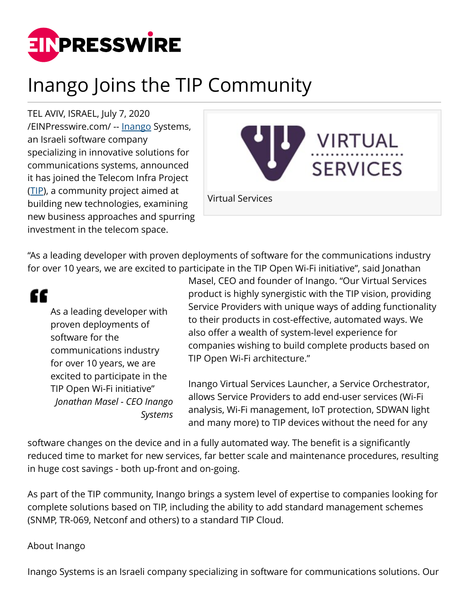

# Inango Joins the TIP Community

TEL AVIV, ISRAEL, July 7, 2020 [/EINPresswire.com/](http://www.einpresswire.com) -- [Inango](http://www.inango.com) Systems, an Israeli software company specializing in innovative solutions for communications systems, announced it has joined the Telecom Infra Project ([TIP\)](https://telecominfraproject.com/members/), a community project aimed at building new technologies, examining new business approaches and spurring investment in the telecom space.



"As a leading developer with proven deployments of software for the communications industry for over 10 years, we are excited to participate in the TIP Open Wi-Fi initiative", said Jonathan

## ££

As a leading developer with proven deployments of software for the communications industry for over 10 years, we are excited to participate in the TIP Open Wi-Fi initiative" *Jonathan Masel - CEO Inango Systems*

Masel, CEO and founder of Inango. "Our Virtual Services product is highly synergistic with the TIP vision, providing Service Providers with unique ways of adding functionality to their products in cost-effective, automated ways. We also offer a wealth of system-level experience for companies wishing to build complete products based on TIP Open Wi-Fi architecture."

Inango Virtual Services Launcher, a Service Orchestrator, allows Service Providers to add end-user services (Wi-Fi analysis, Wi-Fi management, IoT protection, SDWAN light and many more) to TIP devices without the need for any

software changes on the device and in a fully automated way. The benefit is a significantly reduced time to market for new services, far better scale and maintenance procedures, resulting in huge cost savings - both up-front and on-going.

As part of the TIP community, Inango brings a system level of expertise to companies looking for complete solutions based on TIP, including the ability to add standard management schemes (SNMP, TR-069, Netconf and others) to a standard TIP Cloud.

#### About Inango

Inango Systems is an Israeli company specializing in software for communications solutions. Our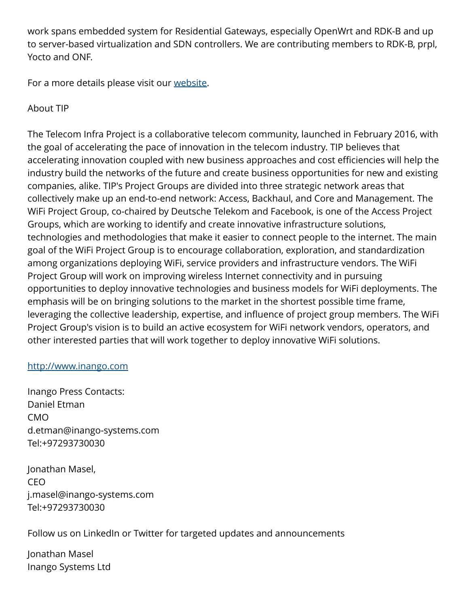work spans embedded system for Residential Gateways, especially OpenWrt and RDK-B and up to server-based virtualization and SDN controllers. We are contributing members to RDK-B, prpl, Yocto and ONF.

For a more details please visit our [website](http://vs.inango.com).

### About TIP

The Telecom Infra Project is a collaborative telecom community, launched in February 2016, with the goal of accelerating the pace of innovation in the telecom industry. TIP believes that accelerating innovation coupled with new business approaches and cost efficiencies will help the industry build the networks of the future and create business opportunities for new and existing companies, alike. TIP's Project Groups are divided into three strategic network areas that collectively make up an end-to-end network: Access, Backhaul, and Core and Management. The WiFi Project Group, co-chaired by Deutsche Telekom and Facebook, is one of the Access Project Groups, which are working to identify and create innovative infrastructure solutions, technologies and methodologies that make it easier to connect people to the internet. The main goal of the WiFi Project Group is to encourage collaboration, exploration, and standardization among organizations deploying WiFi, service providers and infrastructure vendors. The WiFi Project Group will work on improving wireless Internet connectivity and in pursuing opportunities to deploy innovative technologies and business models for WiFi deployments. The emphasis will be on bringing solutions to the market in the shortest possible time frame, leveraging the collective leadership, expertise, and influence of project group members. The WiFi Project Group's vision is to build an active ecosystem for WiFi network vendors, operators, and other interested parties that will work together to deploy innovative WiFi solutions.

#### <http://www.inango.com>

Inango Press Contacts: Daniel Etman CMO d.etman@inango-systems.com Tel:+97293730030

Jonathan Masel, CEO j.masel@inango-systems.com Tel:+97293730030

Follow us on LinkedIn or Twitter for targeted updates and announcements

Jonathan Masel Inango Systems Ltd